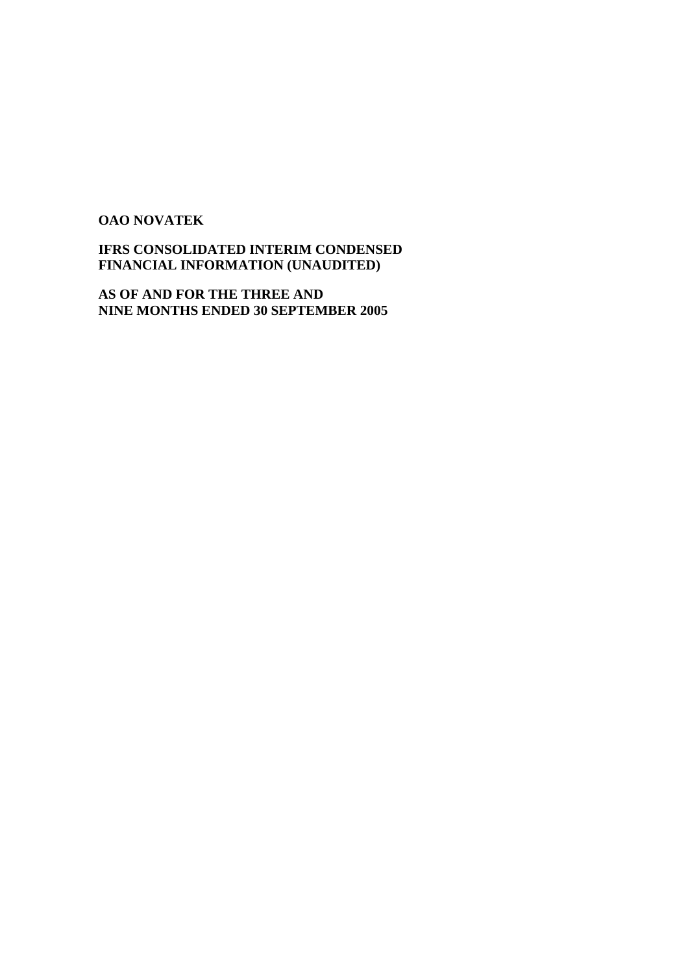# **OAO NOVATEK**

# **IFRS CONSOLIDATED INTERIM CONDENSED FINANCIAL INFORMATION (UNAUDITED)**

**AS OF AND FOR THE THREE AND NINE MONTHS ENDED 30 SEPTEMBER 2005**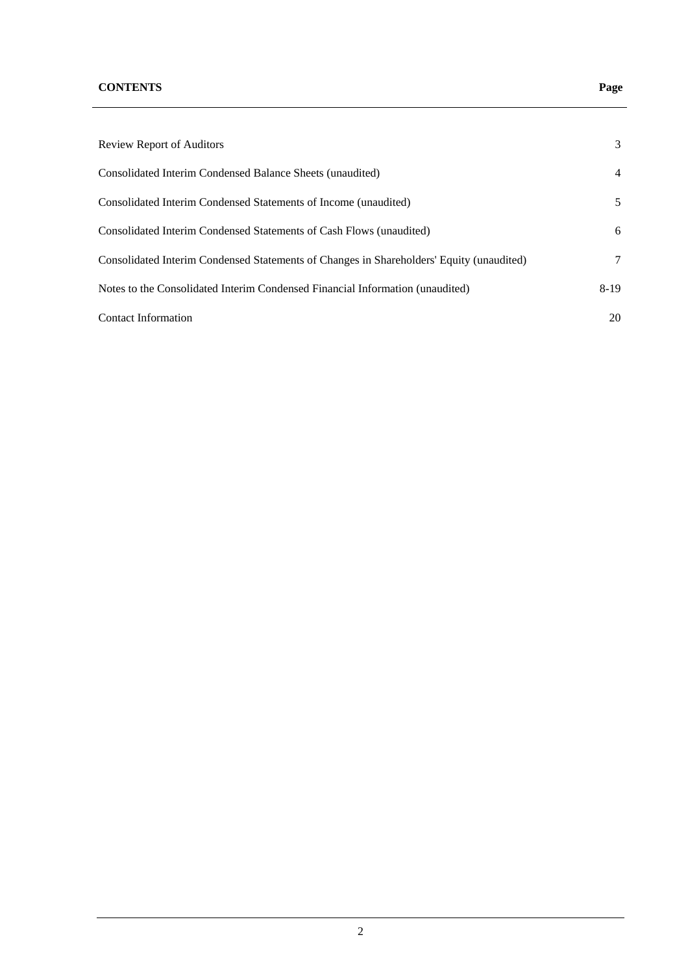# **CONTENTS Page**

| <b>Review Report of Auditors</b>                                                         | 3      |
|------------------------------------------------------------------------------------------|--------|
| Consolidated Interim Condensed Balance Sheets (unaudited)                                | 4      |
| Consolidated Interim Condensed Statements of Income (unaudited)                          | 5      |
| Consolidated Interim Condensed Statements of Cash Flows (unaudited)                      | 6      |
| Consolidated Interim Condensed Statements of Changes in Shareholders' Equity (unaudited) | 7      |
| Notes to the Consolidated Interim Condensed Financial Information (unaudited)            | $8-19$ |
| <b>Contact Information</b>                                                               | 20     |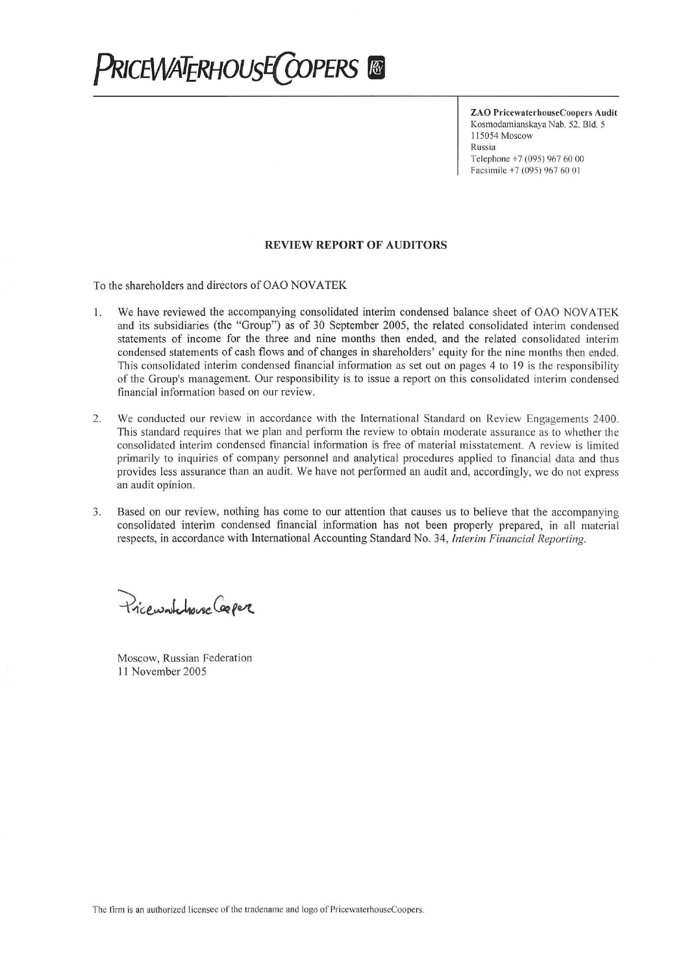# **PRICEWATERHOUSE COPERS &**

**ZAO PricewaterhouseCoopers Audit** Kosmodamianskaya Nab. 52, Bld. 5 115054 Moscow Russia Telephone +7 (095) 967 60 00 Facsimile  $+7(095)9676001$ 

#### **REVIEW REPORT OF AUDITORS**

To the shareholders and directors of OAO NOVATEK

- 1. We have reviewed the accompanying consolidated interim condensed balance sheet of OAO NOVATEK and its subsidiaries (the "Group") as of 30 September 2005, the related consolidated interim condensed statements of income for the three and nine months then ended, and the related consolidated interim condensed statements of cash flows and of changes in shareholders' equity for the nine months then ended. This consolidated interim condensed financial information as set out on pages 4 to 19 is the responsibility of the Group's management. Our responsibility is to issue a report on this consolidated interim condensed financial information based on our review.
- We conducted our review in accordance with the International Standard on Review Engagements 2400. 2. This standard requires that we plan and perform the review to obtain moderate assurance as to whether the consolidated interim condensed financial information is free of material misstatement. A review is limited primarily to inquiries of company personnel and analytical procedures applied to financial data and thus provides less assurance than an audit. We have not performed an audit and, accordingly, we do not express an audit opinion.
- Based on our review, nothing has come to our attention that causes us to believe that the accompanying 3. consolidated interim condensed financial information has not been properly prepared, in all material respects, in accordance with International Accounting Standard No. 34, Interim Financial Reporting.

Pricewatchouse Ceeper

Moscow, Russian Federation 11 November 2005

The firm is an authorized licensee of the tradename and logo of PricewaterhouseCoopers.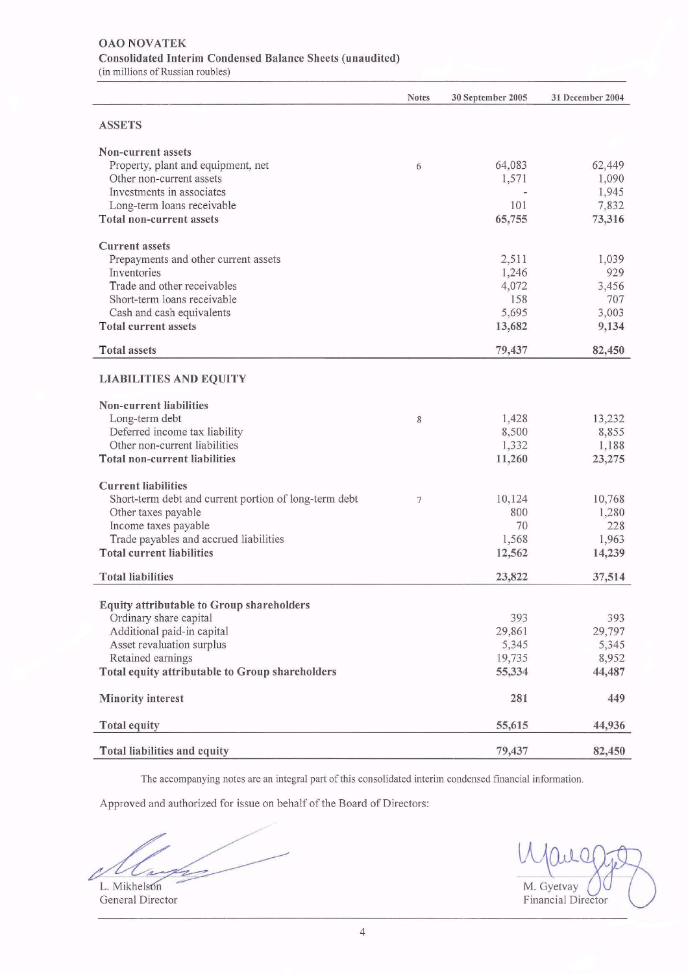#### **OAO NOVATEK Consolidated Interim Condensed Balance Sheets (unaudited)** (in millions of Russian roubles)

|                                                       | <b>Notes</b>   | 30 September 2005 | 31 December 2004 |
|-------------------------------------------------------|----------------|-------------------|------------------|
| <b>ASSETS</b>                                         |                |                   |                  |
| Non-current assets                                    |                |                   |                  |
| Property, plant and equipment, net                    | 6              | 64,083            | 62,449           |
| Other non-current assets                              |                | 1,571             | 1,090            |
| Investments in associates                             |                |                   | 1,945            |
| Long-term loans receivable                            |                | 101               | 7,832            |
| <b>Total non-current assets</b>                       |                | 65,755            | 73,316           |
|                                                       |                |                   |                  |
| <b>Current assets</b>                                 |                |                   |                  |
| Prepayments and other current assets                  |                | 2,511             | 1,039            |
| Inventories                                           |                | 1,246             | 929              |
| Trade and other receivables                           |                | 4,072             | 3,456            |
| Short-term loans receivable                           |                | 158               | 707              |
| Cash and cash equivalents                             |                | 5,695             | 3,003            |
| <b>Total current assets</b>                           |                | 13,682            | 9,134            |
|                                                       |                |                   |                  |
| <b>Total assets</b>                                   |                | 79,437            | 82,450           |
| <b>LIABILITIES AND EQUITY</b>                         |                |                   |                  |
| <b>Non-current liabilities</b>                        |                |                   |                  |
| Long-term debt                                        | 8              | 1,428             | 13,232           |
| Deferred income tax liability                         |                | 8,500             | 8,855            |
| Other non-current liabilities                         |                | 1,332             | 1,188            |
| <b>Total non-current liabilities</b>                  |                | 11,260            | 23,275           |
|                                                       |                |                   |                  |
| <b>Current liabilities</b>                            |                |                   |                  |
| Short-term debt and current portion of long-term debt | $\overline{7}$ | 10,124            | 10,768           |
| Other taxes payable                                   |                | 800               | 1,280            |
| Income taxes payable                                  |                | 70                | 228              |
| Trade payables and accrued liabilities                |                | 1,568             | 1,963            |
| <b>Total current liabilities</b>                      |                | 12,562            | 14,239           |
| <b>Total liabilities</b>                              |                | 23,822            | 37,514           |
|                                                       |                |                   |                  |
| Equity attributable to Group shareholders             |                |                   |                  |
| Ordinary share capital                                |                | 393               | 393              |
| Additional paid-in capital                            |                | 29,861            | 29,797           |
| Asset revaluation surplus                             |                | 5,345             | 5,345            |
| Retained earnings                                     |                | 19,735            | 8,952            |
| Total equity attributable to Group shareholders       |                | 55,334            | 44,487           |
| <b>Minority interest</b>                              |                | 281               | 449              |
| <b>Total equity</b>                                   |                | 55,615            | 44,936           |
| Total liabilities and equity                          |                | 79,437            | 82,450           |

The accompanying notes are an integral part of this consolidated interim condensed financial information.

Approved and authorized for issue on behalf of the Board of Directors:

 $\bigg)$ 

L. Mikhelson General Director

M. Gyetvay Financial Director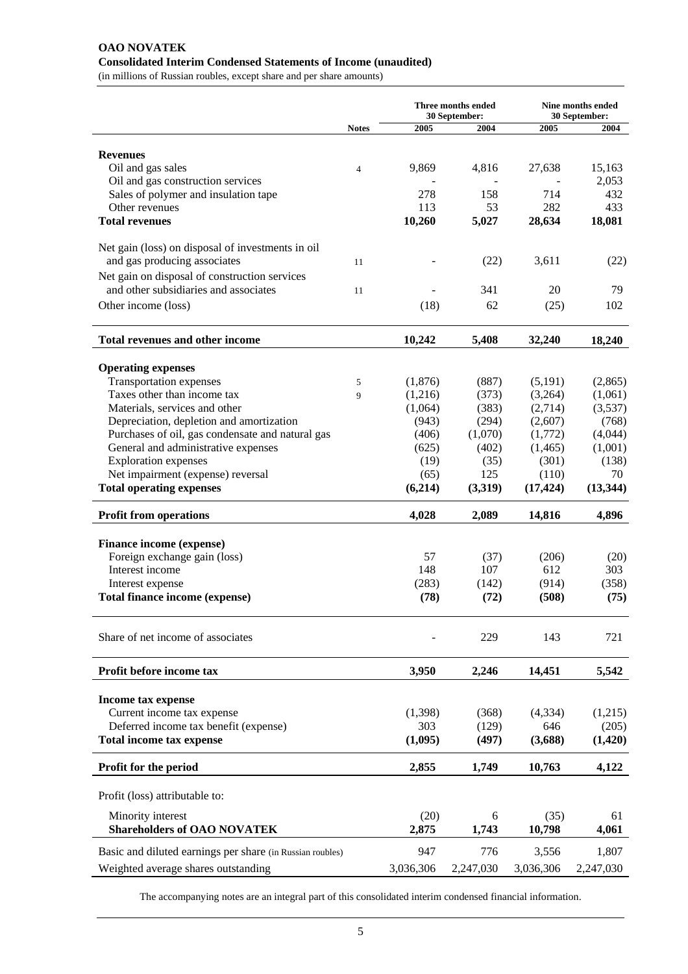# **OAO NOVATEK Consolidated Interim Condensed Statements of Income (unaudited)**

(in millions of Russian roubles, except share and per share amounts)

| 2005<br>2004<br>2005<br><b>Notes</b><br>2004<br><b>Revenues</b><br>Oil and gas sales<br>9,869<br>4,816<br>27,638<br>15,163<br>$\overline{4}$<br>Oil and gas construction services<br>2,053<br>Sales of polymer and insulation tape<br>278<br>158<br>714<br>432<br>Other revenues<br>53<br>282<br>433<br>113<br>10,260<br>5,027<br>18,081<br><b>Total revenues</b><br>28,634<br>Net gain (loss) on disposal of investments in oil<br>and gas producing associates<br>(22)<br>3,611<br>(22)<br>11<br>Net gain on disposal of construction services<br>and other subsidiaries and associates<br>341<br>20<br>79<br>11 |
|--------------------------------------------------------------------------------------------------------------------------------------------------------------------------------------------------------------------------------------------------------------------------------------------------------------------------------------------------------------------------------------------------------------------------------------------------------------------------------------------------------------------------------------------------------------------------------------------------------------------|
|                                                                                                                                                                                                                                                                                                                                                                                                                                                                                                                                                                                                                    |
|                                                                                                                                                                                                                                                                                                                                                                                                                                                                                                                                                                                                                    |
|                                                                                                                                                                                                                                                                                                                                                                                                                                                                                                                                                                                                                    |
|                                                                                                                                                                                                                                                                                                                                                                                                                                                                                                                                                                                                                    |
|                                                                                                                                                                                                                                                                                                                                                                                                                                                                                                                                                                                                                    |
|                                                                                                                                                                                                                                                                                                                                                                                                                                                                                                                                                                                                                    |
|                                                                                                                                                                                                                                                                                                                                                                                                                                                                                                                                                                                                                    |
|                                                                                                                                                                                                                                                                                                                                                                                                                                                                                                                                                                                                                    |
|                                                                                                                                                                                                                                                                                                                                                                                                                                                                                                                                                                                                                    |
|                                                                                                                                                                                                                                                                                                                                                                                                                                                                                                                                                                                                                    |
|                                                                                                                                                                                                                                                                                                                                                                                                                                                                                                                                                                                                                    |
|                                                                                                                                                                                                                                                                                                                                                                                                                                                                                                                                                                                                                    |
| Other income (loss)<br>(18)<br>62<br>(25)<br>102                                                                                                                                                                                                                                                                                                                                                                                                                                                                                                                                                                   |
|                                                                                                                                                                                                                                                                                                                                                                                                                                                                                                                                                                                                                    |
| <b>Total revenues and other income</b><br>10,242<br>5,408<br>32,240<br>18,240                                                                                                                                                                                                                                                                                                                                                                                                                                                                                                                                      |
|                                                                                                                                                                                                                                                                                                                                                                                                                                                                                                                                                                                                                    |
| <b>Operating expenses</b>                                                                                                                                                                                                                                                                                                                                                                                                                                                                                                                                                                                          |
| <b>Transportation expenses</b><br>(1,876)<br>(2,865)<br>(887)<br>(5,191)<br>5                                                                                                                                                                                                                                                                                                                                                                                                                                                                                                                                      |
| Taxes other than income tax<br>(1,216)<br>(373)<br>(3,264)<br>(1,061)<br>9                                                                                                                                                                                                                                                                                                                                                                                                                                                                                                                                         |
| Materials, services and other<br>(1,064)<br>(383)<br>(2,714)<br>(3,537)                                                                                                                                                                                                                                                                                                                                                                                                                                                                                                                                            |
| Depreciation, depletion and amortization<br>(294)<br>(768)<br>(943)<br>(2,607)                                                                                                                                                                                                                                                                                                                                                                                                                                                                                                                                     |
| Purchases of oil, gas condensate and natural gas<br>(406)<br>(1,070)<br>(1,772)<br>(4,044)<br>General and administrative expenses<br>(625)<br>(1, 465)<br>(1,001)                                                                                                                                                                                                                                                                                                                                                                                                                                                  |
| (402)<br><b>Exploration</b> expenses<br>(19)<br>(35)<br>(301)<br>(138)                                                                                                                                                                                                                                                                                                                                                                                                                                                                                                                                             |
| Net impairment (expense) reversal<br>125<br>(110)<br>(65)<br>70                                                                                                                                                                                                                                                                                                                                                                                                                                                                                                                                                    |
| <b>Total operating expenses</b><br>(6,214)<br>(3,319)<br>(13, 344)<br>(17, 424)                                                                                                                                                                                                                                                                                                                                                                                                                                                                                                                                    |
|                                                                                                                                                                                                                                                                                                                                                                                                                                                                                                                                                                                                                    |
| 4,896<br><b>Profit from operations</b><br>4,028<br>2,089<br>14,816                                                                                                                                                                                                                                                                                                                                                                                                                                                                                                                                                 |
| <b>Finance income (expense)</b>                                                                                                                                                                                                                                                                                                                                                                                                                                                                                                                                                                                    |
| Foreign exchange gain (loss)<br>57<br>(37)<br>(206)<br>(20)                                                                                                                                                                                                                                                                                                                                                                                                                                                                                                                                                        |
| Interest income<br>148<br>107<br>612<br>303                                                                                                                                                                                                                                                                                                                                                                                                                                                                                                                                                                        |
| (283)<br>(358)<br>(142)<br>(914)<br>Interest expense                                                                                                                                                                                                                                                                                                                                                                                                                                                                                                                                                               |
| Total finance income (expense)<br>(78)<br>(508)<br>(72)<br>(75)                                                                                                                                                                                                                                                                                                                                                                                                                                                                                                                                                    |
|                                                                                                                                                                                                                                                                                                                                                                                                                                                                                                                                                                                                                    |
| Share of net income of associates<br>229<br>143<br>721                                                                                                                                                                                                                                                                                                                                                                                                                                                                                                                                                             |
|                                                                                                                                                                                                                                                                                                                                                                                                                                                                                                                                                                                                                    |
| Profit before income tax<br>3,950<br>2,246<br>5,542<br>14,451                                                                                                                                                                                                                                                                                                                                                                                                                                                                                                                                                      |
|                                                                                                                                                                                                                                                                                                                                                                                                                                                                                                                                                                                                                    |
| Income tax expense<br>Current income tax expense<br>(4, 334)                                                                                                                                                                                                                                                                                                                                                                                                                                                                                                                                                       |
| (1, 398)<br>(1,215)<br>(368)<br>Deferred income tax benefit (expense)<br>303<br>646<br>(129)<br>(205)                                                                                                                                                                                                                                                                                                                                                                                                                                                                                                              |
| (1,095)<br>(3,688)<br>(1,420)<br><b>Total income tax expense</b><br>(497)                                                                                                                                                                                                                                                                                                                                                                                                                                                                                                                                          |
|                                                                                                                                                                                                                                                                                                                                                                                                                                                                                                                                                                                                                    |
| 2,855<br>4,122<br>Profit for the period<br>1,749<br>10,763                                                                                                                                                                                                                                                                                                                                                                                                                                                                                                                                                         |
| Profit (loss) attributable to:                                                                                                                                                                                                                                                                                                                                                                                                                                                                                                                                                                                     |
|                                                                                                                                                                                                                                                                                                                                                                                                                                                                                                                                                                                                                    |
| Minority interest<br>(20)<br>6<br>(35)<br>61                                                                                                                                                                                                                                                                                                                                                                                                                                                                                                                                                                       |
| <b>Shareholders of OAO NOVATEK</b><br>2,875<br>10,798<br>1,743<br>4,061                                                                                                                                                                                                                                                                                                                                                                                                                                                                                                                                            |
| Basic and diluted earnings per share (in Russian roubles)<br>947<br>776<br>3,556<br>1,807                                                                                                                                                                                                                                                                                                                                                                                                                                                                                                                          |
| 3,036,306<br>Weighted average shares outstanding<br>2,247,030<br>3,036,306<br>2,247,030                                                                                                                                                                                                                                                                                                                                                                                                                                                                                                                            |

The accompanying notes are an integral part of this consolidated interim condensed financial information.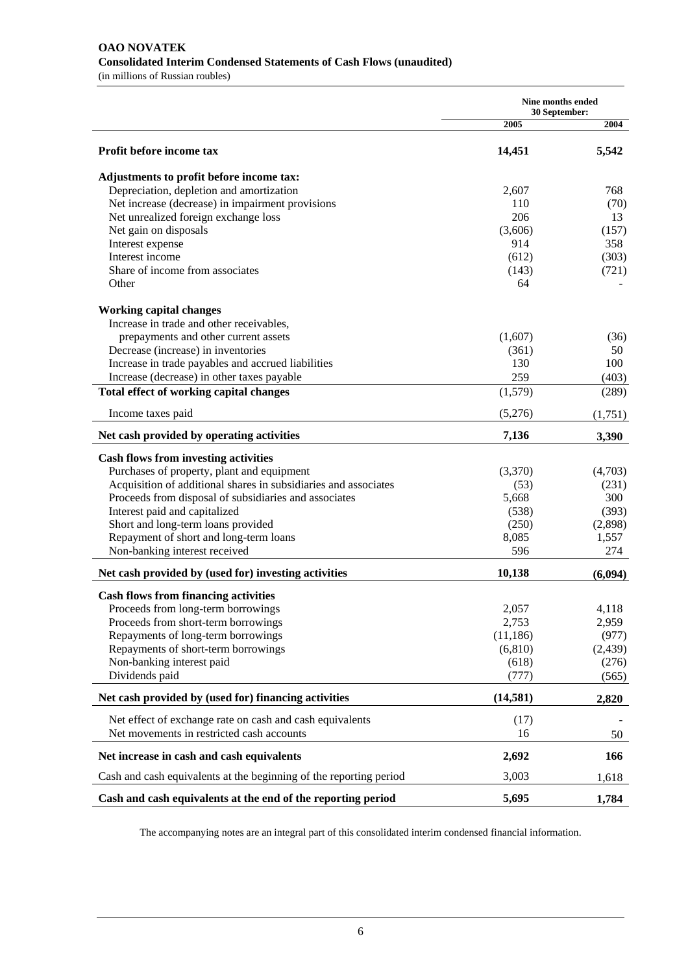#### **OAO NOVATEK Consolidated Interim Condensed Statements of Cash Flows (unaudited)**  (in millions of Russian roubles)

**Nine months ended 30 September: 2005** 2004 **Profit before income tax 3,542 14,451** 5,542 **Adjustments to profit before income tax:**  Depreciation, depletion and amortization 2,607 768 Net increase (decrease) in impairment provisions 110 (70) Net unrealized foreign exchange loss 206 13 Net gain on disposals  $(3,606)$   $(157)$ Interest expense 358 Interest income (612) (303) Share of income from associates (143) (721) Other 64 - Contract of the Contract of the Contract of the Contract of the Contract of the Contract of the Contract of the Contract of the Contract of the Contract of the Contract of the Contract of the Contract of the Con **Working capital changes**  Increase in trade and other receivables, prepayments and other current assets (1,607) (36) Decrease (increase) in inventories (361) 50 Increase in trade payables and accrued liabilities 130 100 Increase (decrease) in other taxes payable 259 (403) **Total effect of working capital changes** (1,579) (289) Income taxes paid  $(5,276)$   $(1,751)$ Net cash provided by operating activities **7,136** 3,390 **Cash flows from investing activities**  Purchases of property, plant and equipment (3,370) (4,703) Acquisition of additional shares in subsidiaries and associates (53) (231) Proceeds from disposal of subsidiaries and associates 5,668 300 Interest paid and capitalized (538) (393) (393) Short and long-term loans provided (250) (2,898) Repayment of short and long-term loans 8,085 1,557 Non-banking interest received 596 274 Net cash provided by (used for) investing activities 10,138 (6,094) **Cash flows from financing activities**  Proceeds from long-term borrowings 2,057 4,118 Proceeds from short-term borrowings 2,753 2,959 Repayments of long-term borrowings (11,186) (977) Repayments of short-term borrowings (6,810) (2,439) Non-banking interest paid (618) (276) Dividends paid (565) (565) Net cash provided by (used for) financing activities (14,581) 2,820 Net effect of exchange rate on cash and cash equivalents (17) Net movements in restricted cash accounts 16 50 **Net increase in cash and cash equivalents** 2.692 166 Cash and cash equivalents at the beginning of the reporting period 3,003 1,618 **Cash and cash equivalents at the end of the reporting period 5,695 1,784** 

The accompanying notes are an integral part of this consolidated interim condensed financial information.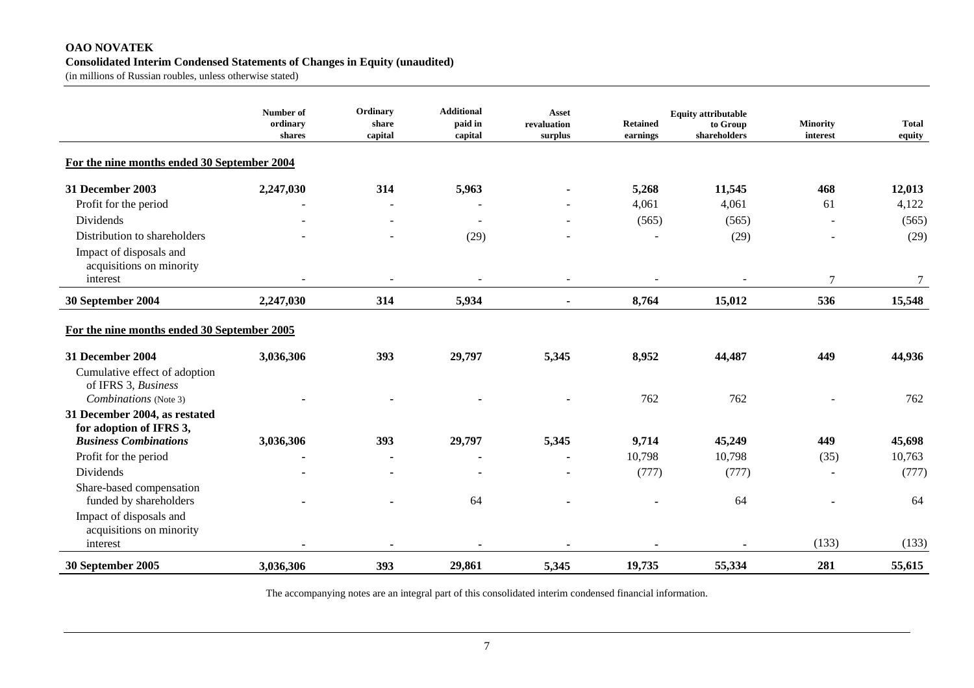## **OAO NOVATEK Consolidated Interim Condensed Statements of Changes in Equity (unaudited)**

(in millions of Russian roubles, unless otherwise stated)

|                                                                               | Number of<br>ordinary<br>shares | Ordinary<br>share<br>capital | <b>Additional</b><br>paid in<br>capital | <b>Asset</b><br>revaluation<br>surplus | <b>Retained</b><br>earnings | <b>Equity attributable</b><br>to Group<br>shareholders | Minority<br>interest | <b>Total</b><br>equity |
|-------------------------------------------------------------------------------|---------------------------------|------------------------------|-----------------------------------------|----------------------------------------|-----------------------------|--------------------------------------------------------|----------------------|------------------------|
| For the nine months ended 30 September 2004                                   |                                 |                              |                                         |                                        |                             |                                                        |                      |                        |
| 31 December 2003                                                              | 2,247,030                       | 314                          | 5,963                                   |                                        | 5,268                       | 11,545                                                 | 468                  | 12,013                 |
| Profit for the period                                                         |                                 |                              |                                         |                                        | 4,061                       | 4,061                                                  | 61                   | 4,122                  |
| Dividends                                                                     |                                 |                              |                                         |                                        | (565)                       | (565)                                                  |                      | (565)                  |
| Distribution to shareholders                                                  |                                 |                              | (29)                                    |                                        |                             | (29)                                                   |                      | (29)                   |
| Impact of disposals and<br>acquisitions on minority                           |                                 |                              |                                         |                                        |                             |                                                        |                      |                        |
| interest                                                                      |                                 |                              |                                         |                                        |                             |                                                        | 7                    | 7                      |
| 30 September 2004                                                             | 2,247,030                       | 314                          | 5,934                                   |                                        | 8,764                       | 15,012                                                 | 536                  | 15,548                 |
| For the nine months ended 30 September 2005                                   |                                 |                              |                                         |                                        |                             |                                                        |                      |                        |
| 31 December 2004                                                              | 3,036,306                       | 393                          | 29,797                                  | 5,345                                  | 8,952                       | 44,487                                                 | 449                  | 44,936                 |
| Cumulative effect of adoption<br>of IFRS 3, Business<br>Combinations (Note 3) |                                 |                              |                                         |                                        | 762                         | 762                                                    |                      | 762                    |
| 31 December 2004, as restated                                                 |                                 |                              |                                         |                                        |                             |                                                        |                      |                        |
| for adoption of IFRS 3,                                                       |                                 |                              |                                         |                                        |                             |                                                        |                      |                        |
| <b>Business Combinations</b>                                                  | 3,036,306                       | 393                          | 29,797                                  | 5,345                                  | 9,714                       | 45,249                                                 | 449                  | 45,698                 |
| Profit for the period                                                         | $\blacksquare$                  | $\blacksquare$               |                                         |                                        | 10,798                      | 10,798                                                 | (35)                 | 10,763                 |
| Dividends                                                                     |                                 |                              |                                         |                                        | (777)                       | (777)                                                  |                      | (777)                  |
| Share-based compensation<br>funded by shareholders                            |                                 |                              | 64                                      |                                        |                             | 64                                                     |                      | 64                     |
| Impact of disposals and<br>acquisitions on minority                           |                                 |                              |                                         |                                        |                             |                                                        |                      |                        |
| interest                                                                      |                                 |                              |                                         |                                        |                             |                                                        | (133)                | (133)                  |
| 30 September 2005                                                             | 3,036,306                       | 393                          | 29,861                                  | 5,345                                  | 19,735                      | 55,334                                                 | 281                  | 55,615                 |

The accompanying notes are an integral part of this consolidated interim condensed financial information.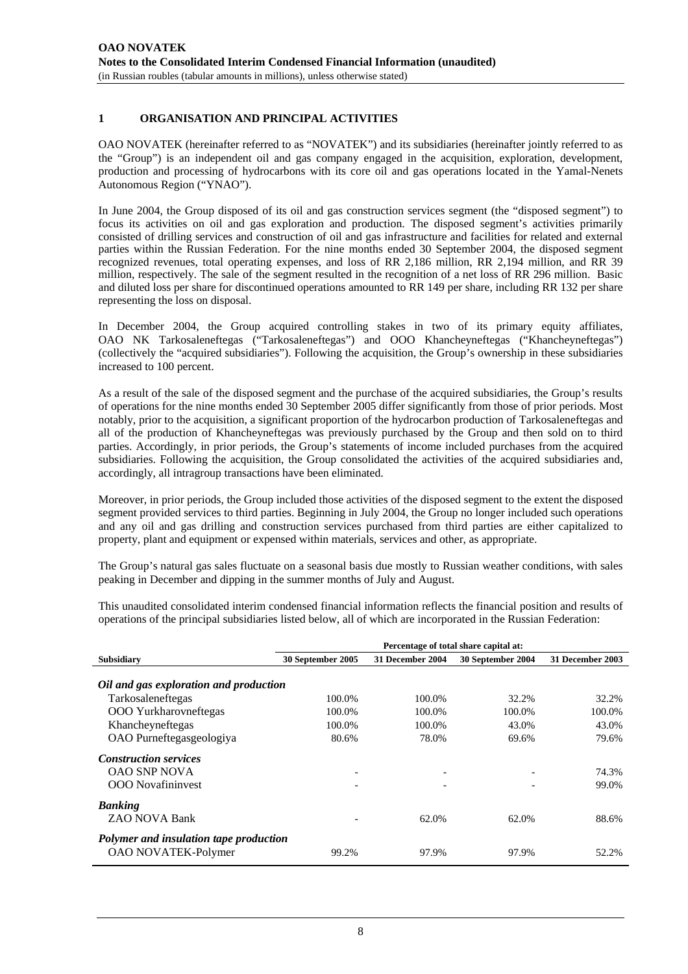# **1 ORGANISATION AND PRINCIPAL ACTIVITIES**

OAO NOVATEK (hereinafter referred to as "NOVATEK") and its subsidiaries (hereinafter jointly referred to as the "Group") is an independent oil and gas company engaged in the acquisition, exploration, development, production and processing of hydrocarbons with its core oil and gas operations located in the Yamal-Nenets Autonomous Region ("YNAO").

In June 2004, the Group disposed of its oil and gas construction services segment (the "disposed segment") to focus its activities on oil and gas exploration and production. The disposed segment's activities primarily consisted of drilling services and construction of oil and gas infrastructure and facilities for related and external parties within the Russian Federation. For the nine months ended 30 September 2004, the disposed segment recognized revenues, total operating expenses, and loss of RR 2,186 million, RR 2,194 million, and RR 39 million, respectively. The sale of the segment resulted in the recognition of a net loss of RR 296 million. Basic and diluted loss per share for discontinued operations amounted to RR 149 per share, including RR 132 per share representing the loss on disposal.

In December 2004, the Group acquired controlling stakes in two of its primary equity affiliates, OAO NK Tarkosaleneftegas ("Tarkosaleneftegas") and OOO Khancheyneftegas ("Khancheyneftegas") (collectively the "acquired subsidiaries"). Following the acquisition, the Group's ownership in these subsidiaries increased to 100 percent.

As a result of the sale of the disposed segment and the purchase of the acquired subsidiaries, the Group's results of operations for the nine months ended 30 September 2005 differ significantly from those of prior periods. Most notably, prior to the acquisition, a significant proportion of the hydrocarbon production of Tarkosaleneftegas and all of the production of Khancheyneftegas was previously purchased by the Group and then sold on to third parties. Accordingly, in prior periods, the Group's statements of income included purchases from the acquired subsidiaries. Following the acquisition, the Group consolidated the activities of the acquired subsidiaries and, accordingly, all intragroup transactions have been eliminated.

Moreover, in prior periods, the Group included those activities of the disposed segment to the extent the disposed segment provided services to third parties. Beginning in July 2004, the Group no longer included such operations and any oil and gas drilling and construction services purchased from third parties are either capitalized to property, plant and equipment or expensed within materials, services and other, as appropriate.

The Group's natural gas sales fluctuate on a seasonal basis due mostly to Russian weather conditions, with sales peaking in December and dipping in the summer months of July and August.

This unaudited consolidated interim condensed financial information reflects the financial position and results of operations of the principal subsidiaries listed below, all of which are incorporated in the Russian Federation:

|                                                                      | Percentage of total share capital at: |                  |                          |                  |
|----------------------------------------------------------------------|---------------------------------------|------------------|--------------------------|------------------|
| <b>Subsidiary</b>                                                    | 30 September 2005                     | 31 December 2004 | 30 September 2004        | 31 December 2003 |
| Oil and gas exploration and production                               |                                       |                  |                          |                  |
| Tarkosaleneftegas                                                    | 100.0%                                | 100.0%           | 32.2%                    | 32.2%            |
| <b>OOO</b> Yurkharovneftegas                                         | 100.0%                                | 100.0%           | 100.0%                   | 100.0%           |
| Khancheyneftegas                                                     | 100.0%                                | 100.0%           | 43.0%                    | 43.0%            |
| OAO Purneftegasgeologiya                                             | 80.6%                                 | 78.0%            | 69.6%                    | 79.6%            |
| <b>Construction services</b>                                         |                                       |                  |                          |                  |
| <b>OAO SNP NOVA</b>                                                  | $\overline{\phantom{a}}$              |                  | $\overline{\phantom{a}}$ | 74.3%            |
| <b>OOO</b> Novafininvest                                             |                                       |                  |                          | 99.0%            |
| <b>Banking</b>                                                       |                                       |                  |                          |                  |
| ZAO NOVA Bank                                                        |                                       | 62.0%            | 62.0%                    | 88.6%            |
| Polymer and insulation tape production<br><b>OAO NOVATEK-Polymer</b> | 99.2%                                 | 97.9%            | 97.9%                    | 52.2%            |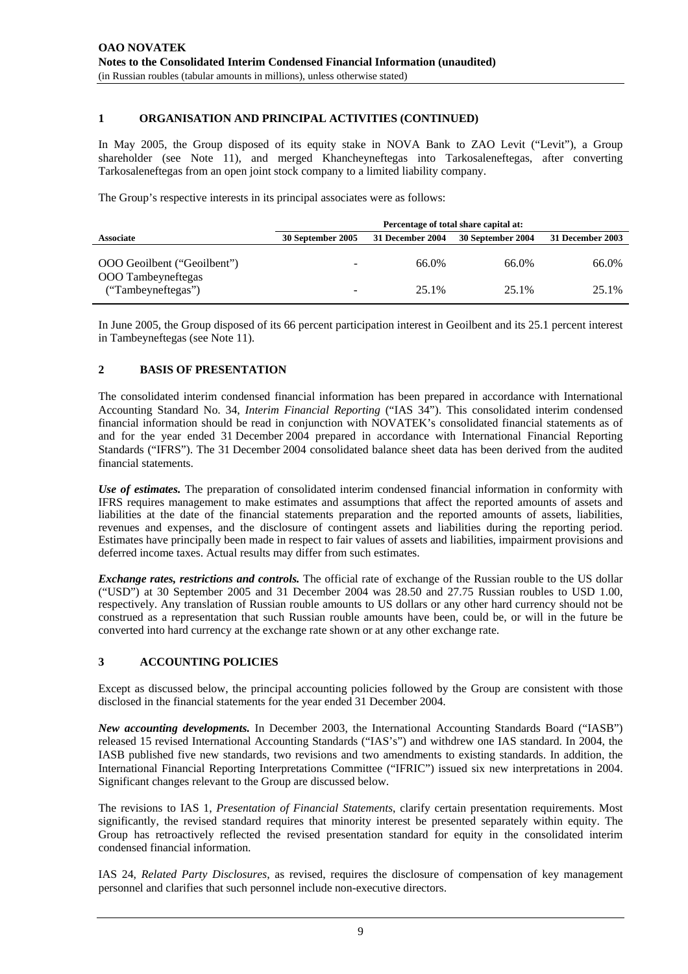## **1 ORGANISATION AND PRINCIPAL ACTIVITIES (CONTINUED)**

In May 2005, the Group disposed of its equity stake in NOVA Bank to ZAO Levit ("Levit"), a Group shareholder (see Note 11), and merged Khancheyneftegas into Tarkosaleneftegas, after converting Tarkosaleneftegas from an open joint stock company to a limited liability company.

The Group's respective interests in its principal associates were as follows:

|                                                   | Percentage of total share capital at: |                  |                   |                  |
|---------------------------------------------------|---------------------------------------|------------------|-------------------|------------------|
| <b>Associate</b>                                  | 30 September 2005                     | 31 December 2004 | 30 September 2004 | 31 December 2003 |
| OOO Geoilbent ("Geoilbent")<br>OOO Tambeyneftegas | $\overline{\phantom{a}}$              | 66.0%            | 66.0%             | 66.0%            |
| ("Tambeyneftegas")                                | $\qquad \qquad \blacksquare$          | 25.1%            | 25.1%             | 25.1%            |

In June 2005, the Group disposed of its 66 percent participation interest in Geoilbent and its 25.1 percent interest in Tambeyneftegas (see Note 11).

#### **2 BASIS OF PRESENTATION**

The consolidated interim condensed financial information has been prepared in accordance with International Accounting Standard No. 34, *Interim Financial Reporting* ("IAS 34"). This consolidated interim condensed financial information should be read in conjunction with NOVATEK's consolidated financial statements as of and for the year ended 31 December 2004 prepared in accordance with International Financial Reporting Standards ("IFRS"). The 31 December 2004 consolidated balance sheet data has been derived from the audited financial statements.

*Use of estimates.* The preparation of consolidated interim condensed financial information in conformity with IFRS requires management to make estimates and assumptions that affect the reported amounts of assets and liabilities at the date of the financial statements preparation and the reported amounts of assets, liabilities, revenues and expenses, and the disclosure of contingent assets and liabilities during the reporting period. Estimates have principally been made in respect to fair values of assets and liabilities, impairment provisions and deferred income taxes. Actual results may differ from such estimates.

*Exchange rates, restrictions and controls.* The official rate of exchange of the Russian rouble to the US dollar ("USD") at 30 September 2005 and 31 December 2004 was 28.50 and 27.75 Russian roubles to USD 1.00, respectively. Any translation of Russian rouble amounts to US dollars or any other hard currency should not be construed as a representation that such Russian rouble amounts have been, could be, or will in the future be converted into hard currency at the exchange rate shown or at any other exchange rate.

## **3 ACCOUNTING POLICIES**

Except as discussed below, the principal accounting policies followed by the Group are consistent with those disclosed in the financial statements for the year ended 31 December 2004.

*New accounting developments.* In December 2003, the International Accounting Standards Board ("IASB") released 15 revised International Accounting Standards ("IAS's") and withdrew one IAS standard. In 2004, the IASB published five new standards, two revisions and two amendments to existing standards. In addition, the International Financial Reporting Interpretations Committee ("IFRIC") issued six new interpretations in 2004. Significant changes relevant to the Group are discussed below.

The revisions to IAS 1, *Presentation of Financial Statements*, clarify certain presentation requirements. Most significantly, the revised standard requires that minority interest be presented separately within equity. The Group has retroactively reflected the revised presentation standard for equity in the consolidated interim condensed financial information.

IAS 24, *Related Party Disclosures*, as revised, requires the disclosure of compensation of key management personnel and clarifies that such personnel include non-executive directors.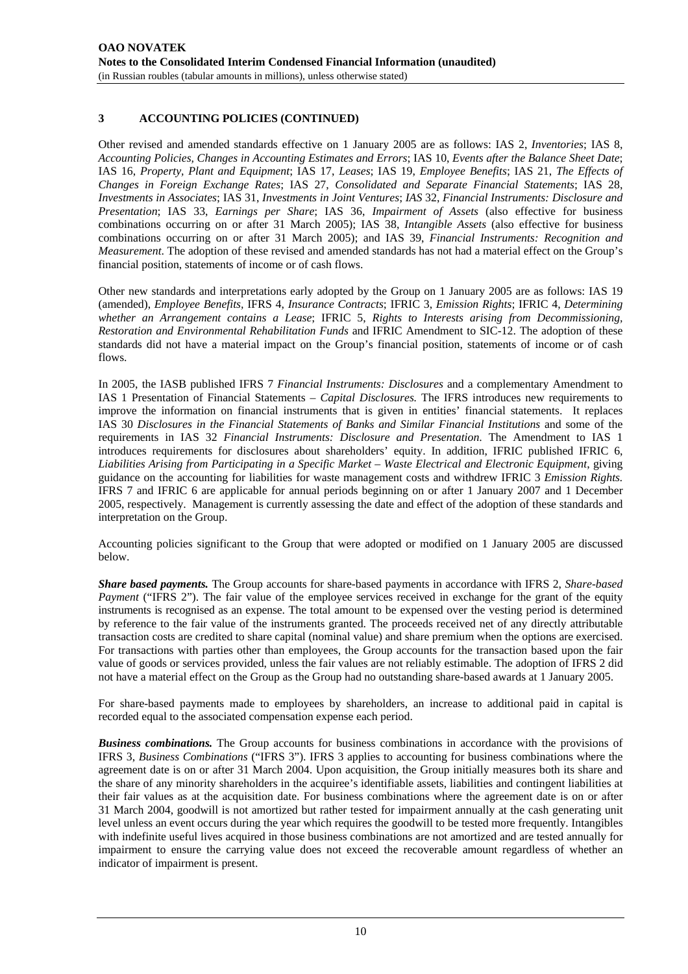# **3 ACCOUNTING POLICIES (CONTINUED)**

Other revised and amended standards effective on 1 January 2005 are as follows: IAS 2, *Inventories*; IAS 8, *Accounting Policies, Changes in Accounting Estimates and Errors*; IAS 10, *Events after the Balance Sheet Date*; IAS 16, *Property, Plant and Equipment*; IAS 17, *Leases*; IAS 19, *Employee Benefits*; IAS 21, *The Effects of Changes in Foreign Exchange Rates*; IAS 27, *Consolidated and Separate Financial Statements*; IAS 28, *Investments in Associates*; IAS 31, *Investments in Joint Ventures*; *IAS* 32, *Financial Instruments: Disclosure and Presentation*; IAS 33, *Earnings per Share*; IAS 36, *Impairment of Assets* (also effective for business combinations occurring on or after 31 March 2005); IAS 38, *Intangible Assets* (also effective for business combinations occurring on or after 31 March 2005); and IAS 39, *Financial Instruments: Recognition and Measurement*. The adoption of these revised and amended standards has not had a material effect on the Group's financial position, statements of income or of cash flows.

Other new standards and interpretations early adopted by the Group on 1 January 2005 are as follows: IAS 19 (amended), *Employee Benefits,* IFRS 4, *Insurance Contracts*; IFRIC 3, *Emission Rights*; IFRIC 4, *Determining whether an Arrangement contains a Lease*; IFRIC 5, *Rights to Interests arising from Decommissioning, Restoration and Environmental Rehabilitation Funds* and IFRIC Amendment to SIC-12. The adoption of these standards did not have a material impact on the Group's financial position, statements of income or of cash flows.

In 2005, the IASB published IFRS 7 *Financial Instruments: Disclosures* and a complementary Amendment to IAS 1 Presentation of Financial Statements – *Capital Disclosures.* The IFRS introduces new requirements to improve the information on financial instruments that is given in entities' financial statements. It replaces IAS 30 *Disclosures in the Financial Statements of Banks and Similar Financial Institutions* and some of the requirements in IAS 32 *Financial Instruments: Disclosure and Presentation*. The Amendment to IAS 1 introduces requirements for disclosures about shareholders' equity. In addition, IFRIC published IFRIC 6, *Liabilities Arising from Participating in a Specific Market* – *Waste Electrical and Electronic Equipment*, giving guidance on the accounting for liabilities for waste management costs and withdrew IFRIC 3 *Emission Rights.*  IFRS 7 and IFRIC 6 are applicable for annual periods beginning on or after 1 January 2007 and 1 December 2005, respectively. Management is currently assessing the date and effect of the adoption of these standards and interpretation on the Group.

Accounting policies significant to the Group that were adopted or modified on 1 January 2005 are discussed below.

*Share based payments.* The Group accounts for share-based payments in accordance with IFRS 2, *Share-based Payment* ("IFRS 2"). The fair value of the employee services received in exchange for the grant of the equity instruments is recognised as an expense. The total amount to be expensed over the vesting period is determined by reference to the fair value of the instruments granted. The proceeds received net of any directly attributable transaction costs are credited to share capital (nominal value) and share premium when the options are exercised. For transactions with parties other than employees, the Group accounts for the transaction based upon the fair value of goods or services provided, unless the fair values are not reliably estimable. The adoption of IFRS 2 did not have a material effect on the Group as the Group had no outstanding share-based awards at 1 January 2005.

For share-based payments made to employees by shareholders, an increase to additional paid in capital is recorded equal to the associated compensation expense each period.

*Business combinations.* The Group accounts for business combinations in accordance with the provisions of IFRS 3, *Business Combinations* ("IFRS 3"). IFRS 3 applies to accounting for business combinations where the agreement date is on or after 31 March 2004. Upon acquisition, the Group initially measures both its share and the share of any minority shareholders in the acquiree's identifiable assets, liabilities and contingent liabilities at their fair values as at the acquisition date. For business combinations where the agreement date is on or after 31 March 2004, goodwill is not amortized but rather tested for impairment annually at the cash generating unit level unless an event occurs during the year which requires the goodwill to be tested more frequently. Intangibles with indefinite useful lives acquired in those business combinations are not amortized and are tested annually for impairment to ensure the carrying value does not exceed the recoverable amount regardless of whether an indicator of impairment is present.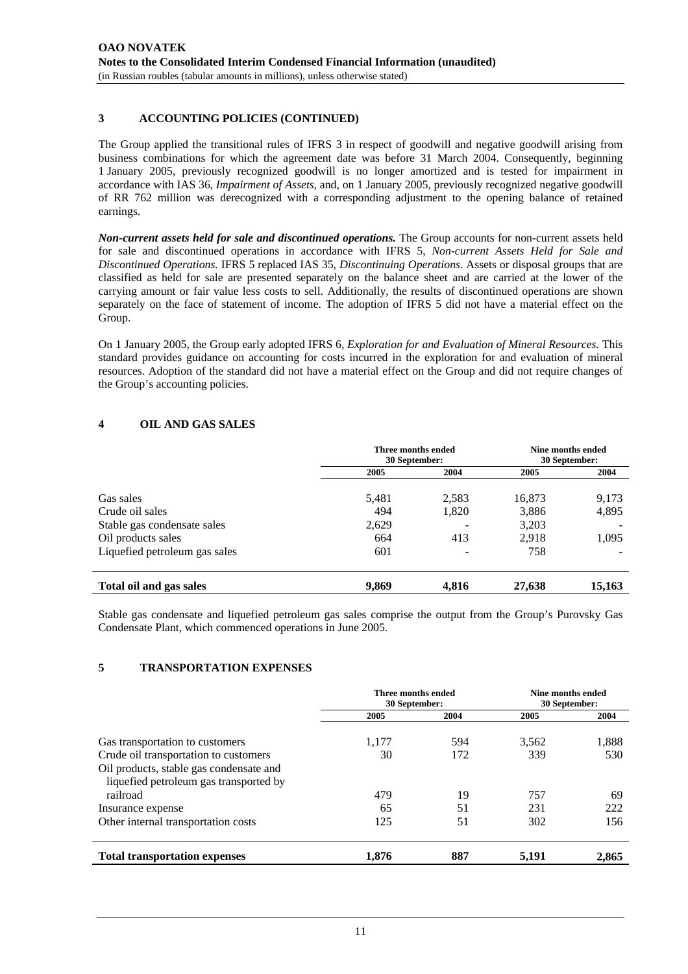# **3 ACCOUNTING POLICIES (CONTINUED)**

The Group applied the transitional rules of IFRS 3 in respect of goodwill and negative goodwill arising from business combinations for which the agreement date was before 31 March 2004. Consequently, beginning 1 January 2005, previously recognized goodwill is no longer amortized and is tested for impairment in accordance with IAS 36, *Impairment of Assets*, and, on 1 January 2005, previously recognized negative goodwill of RR 762 million was derecognized with a corresponding adjustment to the opening balance of retained earnings.

*Non-current assets held for sale and discontinued operations.* The Group accounts for non-current assets held for sale and discontinued operations in accordance with IFRS 5, *Non-current Assets Held for Sale and Discontinued Operations.* IFRS 5 replaced IAS 35, *Discontinuing Operations*. Assets or disposal groups that are classified as held for sale are presented separately on the balance sheet and are carried at the lower of the carrying amount or fair value less costs to sell. Additionally, the results of discontinued operations are shown separately on the face of statement of income. The adoption of IFRS 5 did not have a material effect on the Group.

On 1 January 2005, the Group early adopted IFRS 6, *Exploration for and Evaluation of Mineral Resources.* This standard provides guidance on accounting for costs incurred in the exploration for and evaluation of mineral resources. Adoption of the standard did not have a material effect on the Group and did not require changes of the Group's accounting policies.

# **4 OIL AND GAS SALES**

|                               | Three months ended<br>30 September: |       | Nine months ended<br>30 September: |        |
|-------------------------------|-------------------------------------|-------|------------------------------------|--------|
|                               | 2005                                | 2004  | 2005                               | 2004   |
| Gas sales                     | 5,481                               | 2,583 | 16,873                             | 9,173  |
| Crude oil sales               | 494                                 | 1,820 | 3,886                              | 4,895  |
| Stable gas condensate sales   | 2,629                               |       | 3,203                              |        |
| Oil products sales            | 664                                 | 413   | 2.918                              | 1,095  |
| Liquefied petroleum gas sales | 601                                 |       | 758                                |        |
| Total oil and gas sales       | 9,869                               | 4,816 | 27,638                             | 15,163 |

Stable gas condensate and liquefied petroleum gas sales comprise the output from the Group's Purovsky Gas Condensate Plant, which commenced operations in June 2005.

# **5 TRANSPORTATION EXPENSES**

|                                                                                   | Three months ended<br>30 September: |            | Nine months ended<br>30 September: |       |
|-----------------------------------------------------------------------------------|-------------------------------------|------------|------------------------------------|-------|
|                                                                                   | 2005                                | 2004       | 2005                               | 2004  |
| Gas transportation to customers<br>Crude oil transportation to customers          | 1,177<br>30                         | 594<br>172 | 3,562<br>339                       | 1,888 |
| Oil products, stable gas condensate and<br>liquefied petroleum gas transported by |                                     |            |                                    | 530   |
| railroad                                                                          | 479<br>65                           | 19         | 757<br>231                         | 69    |
| Insurance expense                                                                 |                                     | 51         |                                    | 222   |
| Other internal transportation costs                                               | 125                                 | 51         | 302                                | 156   |
| <b>Total transportation expenses</b>                                              | 1,876                               | 887        | 5,191                              | 2,865 |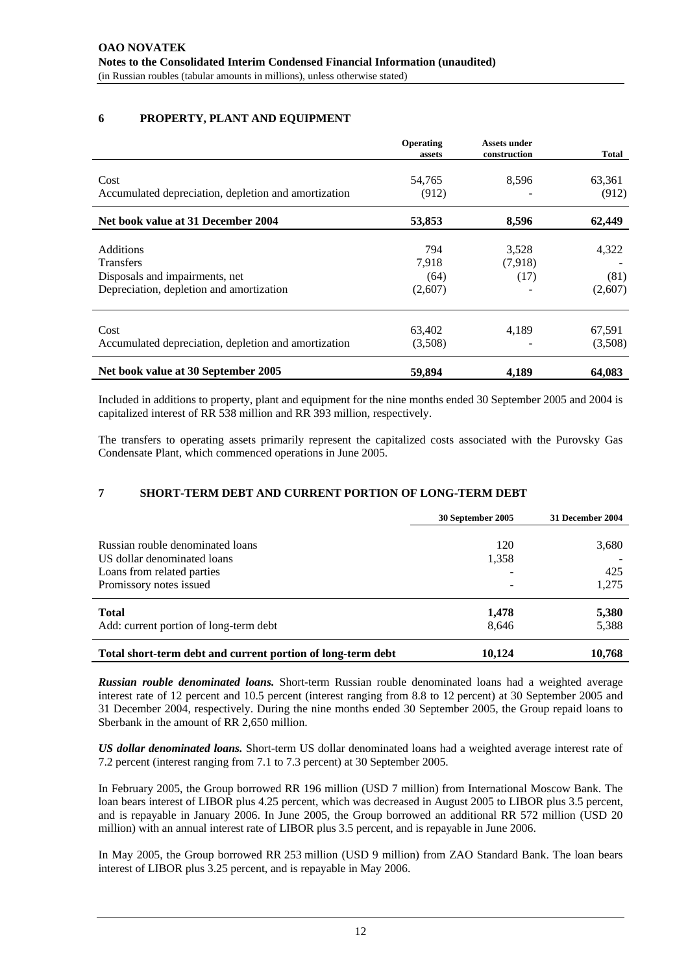# **6 PROPERTY, PLANT AND EQUIPMENT**

|                                                      | <b>Operating</b><br>assets | <b>Assets under</b><br>construction | <b>Total</b> |
|------------------------------------------------------|----------------------------|-------------------------------------|--------------|
| Cost                                                 | 54,765                     | 8,596                               | 63,361       |
| Accumulated depreciation, depletion and amortization | (912)                      |                                     | (912)        |
| Net book value at 31 December 2004                   | 53,853                     | 8,596                               | 62,449       |
| <b>Additions</b>                                     | 794                        | 3,528                               | 4,322        |
| <b>Transfers</b>                                     | 7,918                      | (7.918)                             |              |
| Disposals and impairments, net                       | (64)                       | (17)                                | (81)         |
| Depreciation, depletion and amortization             | (2,607)                    |                                     | (2,607)      |
| Cost                                                 | 63,402                     | 4,189                               | 67,591       |
| Accumulated depreciation, depletion and amortization | (3,508)                    |                                     | (3,508)      |
| Net book value at 30 September 2005                  | 59,894                     | 4,189                               | 64,083       |

Included in additions to property, plant and equipment for the nine months ended 30 September 2005 and 2004 is capitalized interest of RR 538 million and RR 393 million, respectively.

The transfers to operating assets primarily represent the capitalized costs associated with the Purovsky Gas Condensate Plant, which commenced operations in June 2005.

# **7 SHORT-TERM DEBT AND CURRENT PORTION OF LONG-TERM DEBT**

|                                                                                                                          | 30 September 2005 | 31 December 2004      |
|--------------------------------------------------------------------------------------------------------------------------|-------------------|-----------------------|
| Russian rouble denominated loans<br>US dollar denominated loans<br>Loans from related parties<br>Promissory notes issued | 120<br>1,358      | 3,680<br>425<br>1,275 |
| <b>Total</b><br>Add: current portion of long-term debt                                                                   | 1,478<br>8,646    | 5,380<br>5,388        |
| Total short-term debt and current portion of long-term debt                                                              | 10.124            | 10,768                |

*Russian rouble denominated loans.* Short-term Russian rouble denominated loans had a weighted average interest rate of 12 percent and 10.5 percent (interest ranging from 8.8 to 12 percent) at 30 September 2005 and 31 December 2004, respectively. During the nine months ended 30 September 2005, the Group repaid loans to Sberbank in the amount of RR 2,650 million.

*US dollar denominated loans.* Short-term US dollar denominated loans had a weighted average interest rate of 7.2 percent (interest ranging from 7.1 to 7.3 percent) at 30 September 2005.

In February 2005, the Group borrowed RR 196 million (USD 7 million) from International Moscow Bank. The loan bears interest of LIBOR plus 4.25 percent, which was decreased in August 2005 to LIBOR plus 3.5 percent, and is repayable in January 2006. In June 2005, the Group borrowed an additional RR 572 million (USD 20 million) with an annual interest rate of LIBOR plus 3.5 percent, and is repayable in June 2006.

In May 2005, the Group borrowed RR 253 million (USD 9 million) from ZAO Standard Bank. The loan bears interest of LIBOR plus 3.25 percent, and is repayable in May 2006.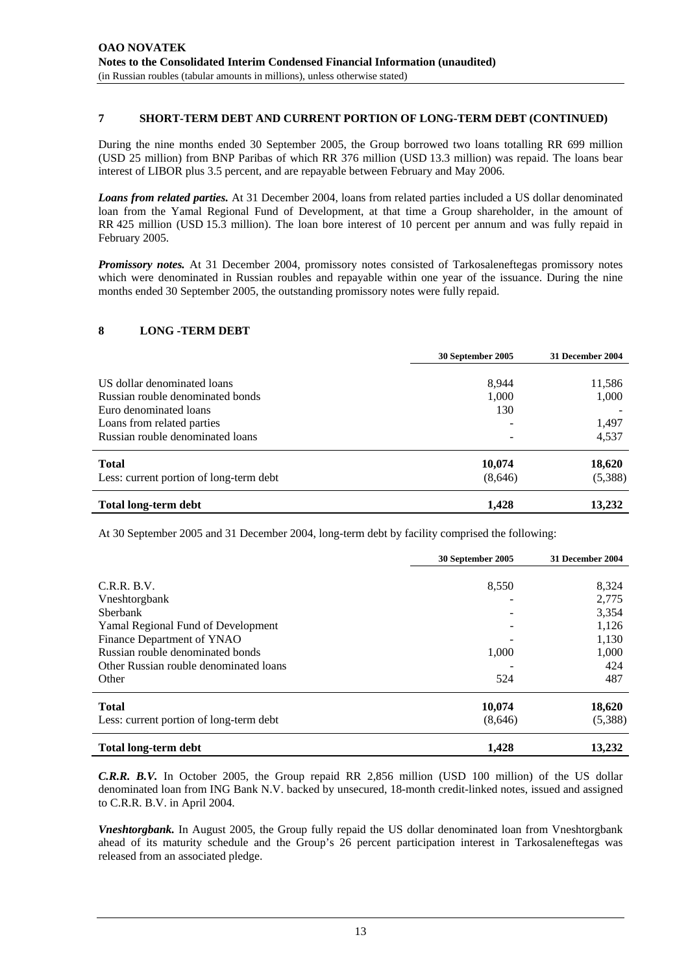## **7 SHORT-TERM DEBT AND CURRENT PORTION OF LONG-TERM DEBT (CONTINUED)**

During the nine months ended 30 September 2005, the Group borrowed two loans totalling RR 699 million (USD 25 million) from BNP Paribas of which RR 376 million (USD 13.3 million) was repaid. The loans bear interest of LIBOR plus 3.5 percent, and are repayable between February and May 2006.

*Loans from related parties.* At 31 December 2004, loans from related parties included a US dollar denominated loan from the Yamal Regional Fund of Development, at that time a Group shareholder, in the amount of RR 425 million (USD 15.3 million). The loan bore interest of 10 percent per annum and was fully repaid in February 2005.

*Promissory notes.* At 31 December 2004, promissory notes consisted of Tarkosaleneftegas promissory notes which were denominated in Russian roubles and repayable within one year of the issuance. During the nine months ended 30 September 2005, the outstanding promissory notes were fully repaid.

#### **8 LONG -TERM DEBT**

|                                         | 30 September 2005 | 31 December 2004 |
|-----------------------------------------|-------------------|------------------|
| US dollar denominated loans             |                   |                  |
|                                         | 8.944             | 11,586           |
| Russian rouble denominated bonds        | 1,000             | 1,000            |
| Euro denominated loans                  | 130               |                  |
| Loans from related parties              |                   | 1,497            |
| Russian rouble denominated loans        |                   | 4,537            |
| <b>Total</b>                            | 10,074            | 18,620           |
| Less: current portion of long-term debt | (8,646)           | (5,388)          |
| <b>Total long-term debt</b>             | 1,428             | 13,232           |

At 30 September 2005 and 31 December 2004, long-term debt by facility comprised the following:

|                                         | 30 September 2005 | 31 December 2004 |
|-----------------------------------------|-------------------|------------------|
|                                         |                   |                  |
| C.R.R.B.V.                              | 8,550             | 8,324            |
| Vneshtorgbank                           |                   | 2,775            |
| <b>Sherbank</b>                         |                   | 3,354            |
| Yamal Regional Fund of Development      |                   | 1,126            |
| Finance Department of YNAO              |                   | 1,130            |
| Russian rouble denominated bonds        | 1,000             | 1,000            |
| Other Russian rouble denominated loans  |                   | 424              |
| Other                                   | 524               | 487              |
| <b>Total</b>                            | 10,074            | 18,620           |
| Less: current portion of long-term debt | (8,646)           | (5,388)          |
| <b>Total long-term debt</b>             | 1,428             | 13,232           |

*C.R.R. B.V.* In October 2005, the Group repaid RR 2,856 million (USD 100 million) of the US dollar denominated loan from ING Bank N.V. backed by unsecured, 18-month credit-linked notes, issued and assigned to C.R.R. B.V. in April 2004.

*Vneshtorgbank.* In August 2005, the Group fully repaid the US dollar denominated loan from Vneshtorgbank ahead of its maturity schedule and the Group's 26 percent participation interest in Tarkosaleneftegas was released from an associated pledge.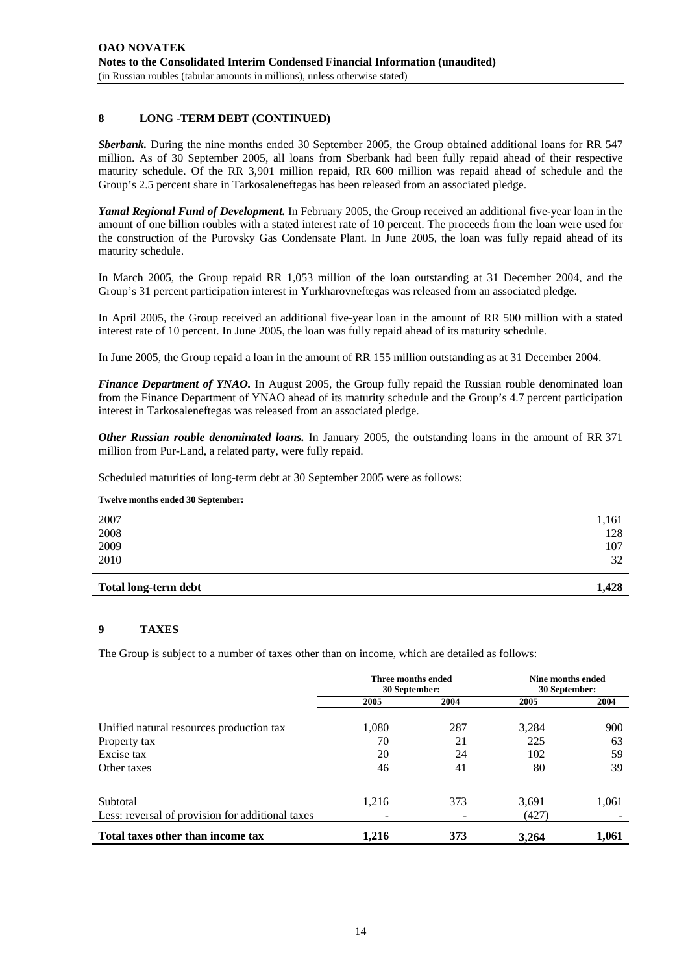## **8 LONG -TERM DEBT (CONTINUED)**

*Sberbank.* During the nine months ended 30 September 2005, the Group obtained additional loans for RR 547 million. As of 30 September 2005, all loans from Sberbank had been fully repaid ahead of their respective maturity schedule. Of the RR 3,901 million repaid, RR 600 million was repaid ahead of schedule and the Group's 2.5 percent share in Tarkosaleneftegas has been released from an associated pledge.

*Yamal Regional Fund of Development.* In February 2005, the Group received an additional five-year loan in the amount of one billion roubles with a stated interest rate of 10 percent. The proceeds from the loan were used for the construction of the Purovsky Gas Condensate Plant. In June 2005, the loan was fully repaid ahead of its maturity schedule.

In March 2005, the Group repaid RR 1,053 million of the loan outstanding at 31 December 2004, and the Group's 31 percent participation interest in Yurkharovneftegas was released from an associated pledge.

In April 2005, the Group received an additional five-year loan in the amount of RR 500 million with a stated interest rate of 10 percent. In June 2005, the loan was fully repaid ahead of its maturity schedule.

In June 2005, the Group repaid a loan in the amount of RR 155 million outstanding as at 31 December 2004.

*Finance Department of YNAO.* In August 2005, the Group fully repaid the Russian rouble denominated loan from the Finance Department of YNAO ahead of its maturity schedule and the Group's 4.7 percent participation interest in Tarkosaleneftegas was released from an associated pledge.

*Other Russian rouble denominated loans.* In January 2005, the outstanding loans in the amount of RR 371 million from Pur-Land, a related party, were fully repaid.

Scheduled maturities of long-term debt at 30 September 2005 were as follows:

| Twelve months ended 30 September: |       |
|-----------------------------------|-------|
| 2007                              | 1,161 |
| 2008                              | 128   |
| 2009                              | 107   |
| 2010                              | 32    |
| <b>Total long-term debt</b>       | 1.428 |

## **9 TAXES**

The Group is subject to a number of taxes other than on income, which are detailed as follows:

|                                                              | Three months ended<br>30 September: |      | Nine months ended<br>30 September: |       |
|--------------------------------------------------------------|-------------------------------------|------|------------------------------------|-------|
|                                                              | 2005                                | 2004 | 2005                               | 2004  |
| Unified natural resources production tax                     | 1,080                               | 287  | 3,284                              | 900   |
| Property tax                                                 | 70                                  | 21   | 225                                | 63    |
| Excise tax                                                   | 20                                  | 24   | 102                                | 59    |
| Other taxes                                                  | 46                                  | 41   | 80                                 | 39    |
| Subtotal<br>Less: reversal of provision for additional taxes | 1,216                               | 373  | 3,691<br>(427)                     | 1,061 |
| Total taxes other than income tax                            | 1,216                               | 373  | 3.264                              | 1,061 |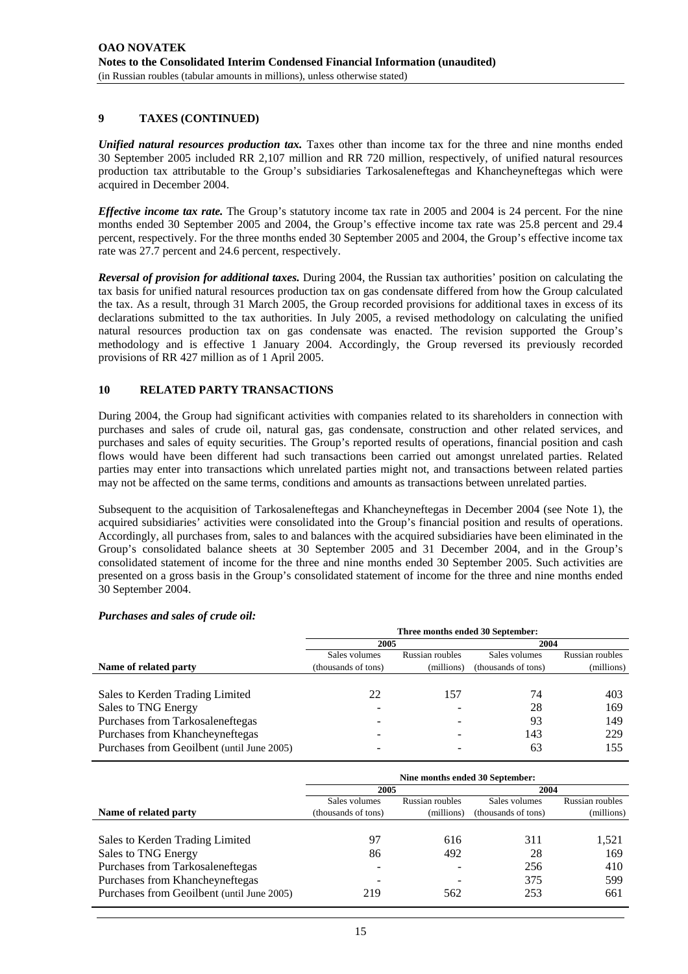# **9 TAXES (CONTINUED)**

*Unified natural resources production tax.* Taxes other than income tax for the three and nine months ended 30 September 2005 included RR 2,107 million and RR 720 million, respectively, of unified natural resources production tax attributable to the Group's subsidiaries Tarkosaleneftegas and Khancheyneftegas which were acquired in December 2004.

*Effective income tax rate.* The Group's statutory income tax rate in 2005 and 2004 is 24 percent. For the nine months ended 30 September 2005 and 2004, the Group's effective income tax rate was 25.8 percent and 29.4 percent, respectively. For the three months ended 30 September 2005 and 2004, the Group's effective income tax rate was 27.7 percent and 24.6 percent, respectively.

*Reversal of provision for additional taxes.* During 2004, the Russian tax authorities' position on calculating the tax basis for unified natural resources production tax on gas condensate differed from how the Group calculated the tax. As a result, through 31 March 2005, the Group recorded provisions for additional taxes in excess of its declarations submitted to the tax authorities. In July 2005, a revised methodology on calculating the unified natural resources production tax on gas condensate was enacted. The revision supported the Group's methodology and is effective 1 January 2004. Accordingly, the Group reversed its previously recorded provisions of RR 427 million as of 1 April 2005.

# **10 RELATED PARTY TRANSACTIONS**

During 2004, the Group had significant activities with companies related to its shareholders in connection with purchases and sales of crude oil, natural gas, gas condensate, construction and other related services, and purchases and sales of equity securities. The Group's reported results of operations, financial position and cash flows would have been different had such transactions been carried out amongst unrelated parties. Related parties may enter into transactions which unrelated parties might not, and transactions between related parties may not be affected on the same terms, conditions and amounts as transactions between unrelated parties.

Subsequent to the acquisition of Tarkosaleneftegas and Khancheyneftegas in December 2004 (see Note 1), the acquired subsidiaries' activities were consolidated into the Group's financial position and results of operations. Accordingly, all purchases from, sales to and balances with the acquired subsidiaries have been eliminated in the Group's consolidated balance sheets at 30 September 2005 and 31 December 2004, and in the Group's consolidated statement of income for the three and nine months ended 30 September 2005. Such activities are presented on a gross basis in the Group's consolidated statement of income for the three and nine months ended 30 September 2004.

|                                            | Three months ended 30 September: |                 |                     |                 |
|--------------------------------------------|----------------------------------|-----------------|---------------------|-----------------|
|                                            | 2005                             |                 | 2004                |                 |
|                                            | Sales volumes                    | Russian roubles | Sales volumes       | Russian roubles |
| Name of related party                      | (thousands of tons)              | (millions)      | (thousands of tons) | (millions)      |
|                                            |                                  |                 |                     |                 |
| Sales to Kerden Trading Limited            | 22                               | 157             | 74                  | 403             |
| Sales to TNG Energy                        |                                  |                 | 28                  | 169             |
| Purchases from Tarkosaleneftegas           |                                  |                 | 93                  | 149             |
| Purchases from Khancheyneftegas            |                                  |                 | 143                 | 229             |
| Purchases from Geoilbent (until June 2005) |                                  |                 | 63                  | 155             |

#### *Purchases and sales of crude oil:*

|                                            | Nine months ended 30 September: |                 |                     |                 |
|--------------------------------------------|---------------------------------|-----------------|---------------------|-----------------|
|                                            | 2005                            |                 | 2004                |                 |
|                                            | Sales volumes                   | Russian roubles | Sales volumes       | Russian roubles |
| Name of related party                      | (thousands of tons)             | (millions)      | (thousands of tons) | (millions)      |
|                                            |                                 |                 |                     |                 |
| Sales to Kerden Trading Limited            | 97                              | 616             | 311                 | 1,521           |
| Sales to TNG Energy                        | 86                              | 492             | 28                  | 169             |
| Purchases from Tarkosaleneftegas           |                                 |                 | 256                 | 410             |
| Purchases from Khancheyneftegas            |                                 |                 | 375                 | 599             |
| Purchases from Geoilbent (until June 2005) | 219                             | 562             | 253                 | 661             |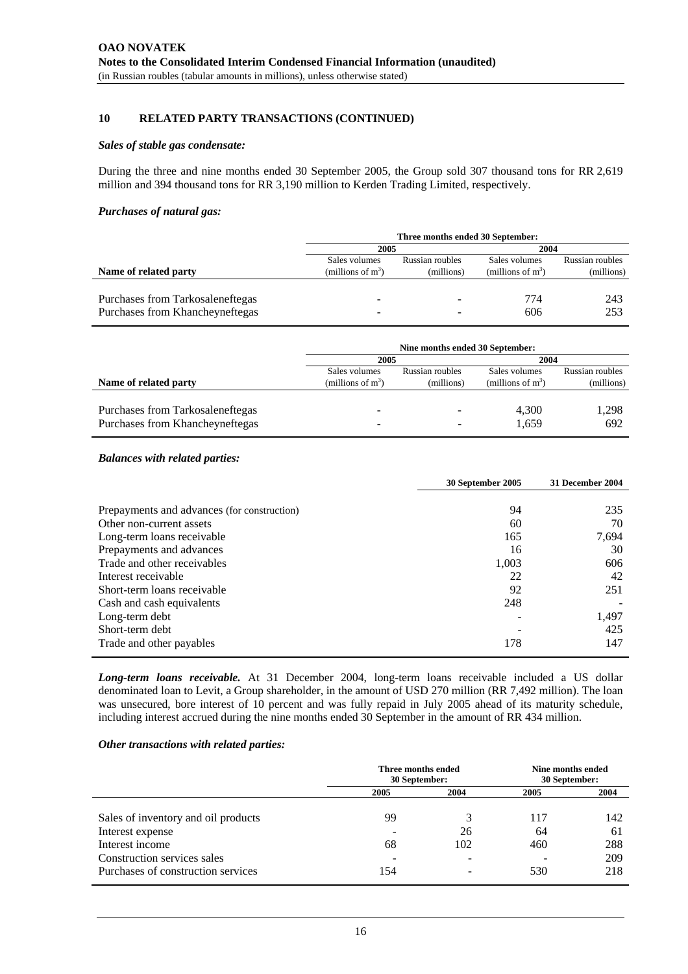## **10 RELATED PARTY TRANSACTIONS (CONTINUED)**

#### *Sales of stable gas condensate:*

During the three and nine months ended 30 September 2005, the Group sold 307 thousand tons for RR 2,619 million and 394 thousand tons for RR 3,190 million to Kerden Trading Limited, respectively.

#### *Purchases of natural gas:*

|                                  | Three months ended 30 September: |                 |                      |                 |
|----------------------------------|----------------------------------|-----------------|----------------------|-----------------|
|                                  | 2005                             |                 | 2004                 |                 |
|                                  | Sales volumes                    | Russian roubles | Sales volumes        | Russian roubles |
| Name of related party            | (millions of $m^3$ )             | (millions)      | (millions of $m^3$ ) | (millions)      |
|                                  |                                  |                 |                      |                 |
| Purchases from Tarkosaleneftegas |                                  |                 | 774                  | 243             |
| Purchases from Khancheyneftegas  |                                  |                 | 606                  | 253             |

|                                  |                      | Nine months ended 30 September: |                      |                 |
|----------------------------------|----------------------|---------------------------------|----------------------|-----------------|
|                                  | 2005                 |                                 | 2004                 |                 |
|                                  | Sales volumes        | Russian roubles                 | Sales volumes        | Russian roubles |
| Name of related party            | (millions of $m^3$ ) | (millions)                      | (millions of $m^3$ ) | (millions)      |
| Purchases from Tarkosaleneftegas |                      |                                 | 4,300                | 1,298           |
| Purchases from Khancheyneftegas  |                      |                                 | 1,659                | 692             |

#### *Balances with related parties:*

|                                             | 30 September 2005 | 31 December 2004 |
|---------------------------------------------|-------------------|------------------|
|                                             |                   |                  |
| Prepayments and advances (for construction) | 94                | 235              |
| Other non-current assets                    | 60                | 70               |
| Long-term loans receivable                  | 165               | 7,694            |
| Prepayments and advances                    | 16                | 30               |
| Trade and other receivables                 | 1,003             | 606              |
| Interest receivable                         | 22                | 42               |
| Short-term loans receivable                 | 92                | 251              |
| Cash and cash equivalents                   | 248               |                  |
| Long-term debt                              |                   | 1,497            |
| Short-term debt                             |                   | 425              |
| Trade and other payables                    | 178               | 147              |

*Long-term loans receivable.* At 31 December 2004, long-term loans receivable included a US dollar denominated loan to Levit, a Group shareholder, in the amount of USD 270 million (RR 7,492 million). The loan was unsecured, bore interest of 10 percent and was fully repaid in July 2005 ahead of its maturity schedule, including interest accrued during the nine months ended 30 September in the amount of RR 434 million.

#### *Other transactions with related parties:*

|                                     | Three months ended<br>30 September: |                          | Nine months ended<br>30 September: |      |
|-------------------------------------|-------------------------------------|--------------------------|------------------------------------|------|
|                                     | 2005                                | 2004                     | 2005                               | 2004 |
| Sales of inventory and oil products | 99                                  | 3                        | 117                                | 142  |
| Interest expense                    |                                     | 26                       | 64                                 | 61   |
| Interest income                     | 68                                  | 102                      | 460                                | 288  |
| Construction services sales         |                                     | $\overline{\phantom{a}}$ |                                    | 209  |
| Purchases of construction services  | 154                                 | -                        | 530                                | 218  |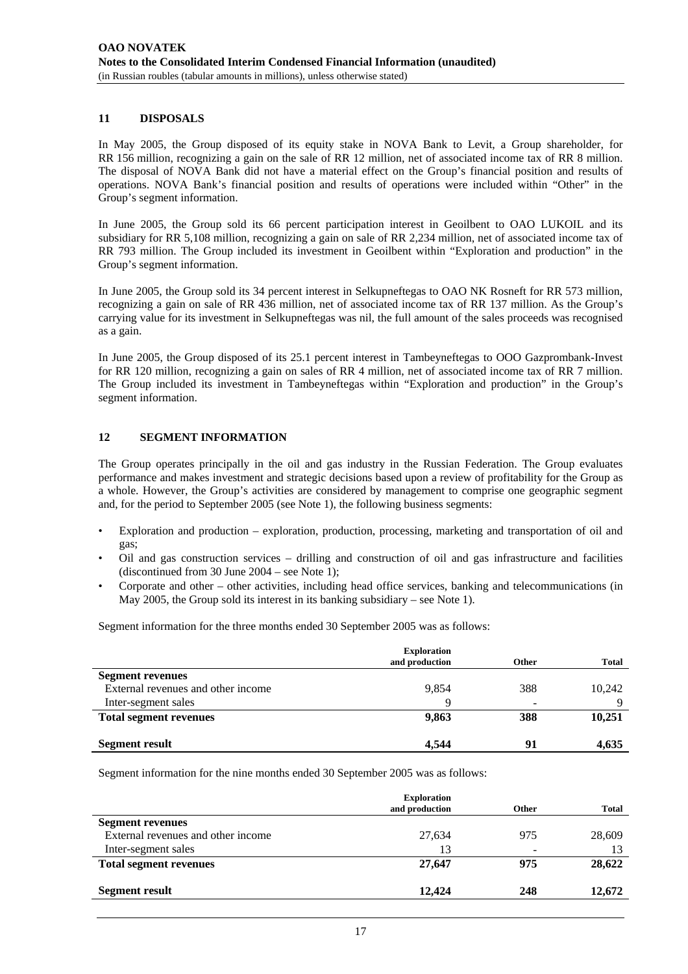## **11 DISPOSALS**

In May 2005, the Group disposed of its equity stake in NOVA Bank to Levit, a Group shareholder, for RR 156 million, recognizing a gain on the sale of RR 12 million, net of associated income tax of RR 8 million. The disposal of NOVA Bank did not have a material effect on the Group's financial position and results of operations. NOVA Bank's financial position and results of operations were included within "Other" in the Group's segment information.

In June 2005, the Group sold its 66 percent participation interest in Geoilbent to OAO LUKOIL and its subsidiary for RR 5,108 million, recognizing a gain on sale of RR 2,234 million, net of associated income tax of RR 793 million. The Group included its investment in Geoilbent within "Exploration and production" in the Group's segment information.

In June 2005, the Group sold its 34 percent interest in Selkupneftegas to OAO NK Rosneft for RR 573 million, recognizing a gain on sale of RR 436 million, net of associated income tax of RR 137 million. As the Group's carrying value for its investment in Selkupneftegas was nil, the full amount of the sales proceeds was recognised as a gain.

In June 2005, the Group disposed of its 25.1 percent interest in Tambeyneftegas to OOO Gazprombank-Invest for RR 120 million, recognizing a gain on sales of RR 4 million, net of associated income tax of RR 7 million. The Group included its investment in Tambeyneftegas within "Exploration and production" in the Group's segment information.

## **12 SEGMENT INFORMATION**

The Group operates principally in the oil and gas industry in the Russian Federation. The Group evaluates performance and makes investment and strategic decisions based upon a review of profitability for the Group as a whole. However, the Group's activities are considered by management to comprise one geographic segment and, for the period to September 2005 (see Note 1), the following business segments:

- Exploration and production exploration, production, processing, marketing and transportation of oil and gas;
- Oil and gas construction services drilling and construction of oil and gas infrastructure and facilities (discontinued from 30 June 2004 – see Note 1);
- Corporate and other other activities, including head office services, banking and telecommunications (in May 2005, the Group sold its interest in its banking subsidiary – see Note 1).

Segment information for the three months ended 30 September 2005 was as follows:

|                                    | <b>Exploration</b><br>and production | <b>Other</b>             | <b>Total</b> |
|------------------------------------|--------------------------------------|--------------------------|--------------|
|                                    |                                      |                          |              |
| <b>Segment revenues</b>            |                                      |                          |              |
| External revenues and other income | 9,854                                | 388                      | 10,242       |
| Inter-segment sales                | Q                                    | $\overline{\phantom{0}}$ |              |
| <b>Total segment revenues</b>      | 9,863                                | 388                      | 10,251       |
| <b>Segment result</b>              | 4.544                                | 91                       | 4,635        |

Segment information for the nine months ended 30 September 2005 was as follows:

|                                    | <b>Exploration</b><br>and production | Other | <b>Total</b> |
|------------------------------------|--------------------------------------|-------|--------------|
| <b>Segment revenues</b>            |                                      |       |              |
| External revenues and other income | 27,634                               | 975   | 28,609       |
| Inter-segment sales                | 13                                   |       |              |
| <b>Total segment revenues</b>      | 27,647                               | 975   | 28,622       |
| <b>Segment result</b>              | 12,424                               | 248   | 12,672       |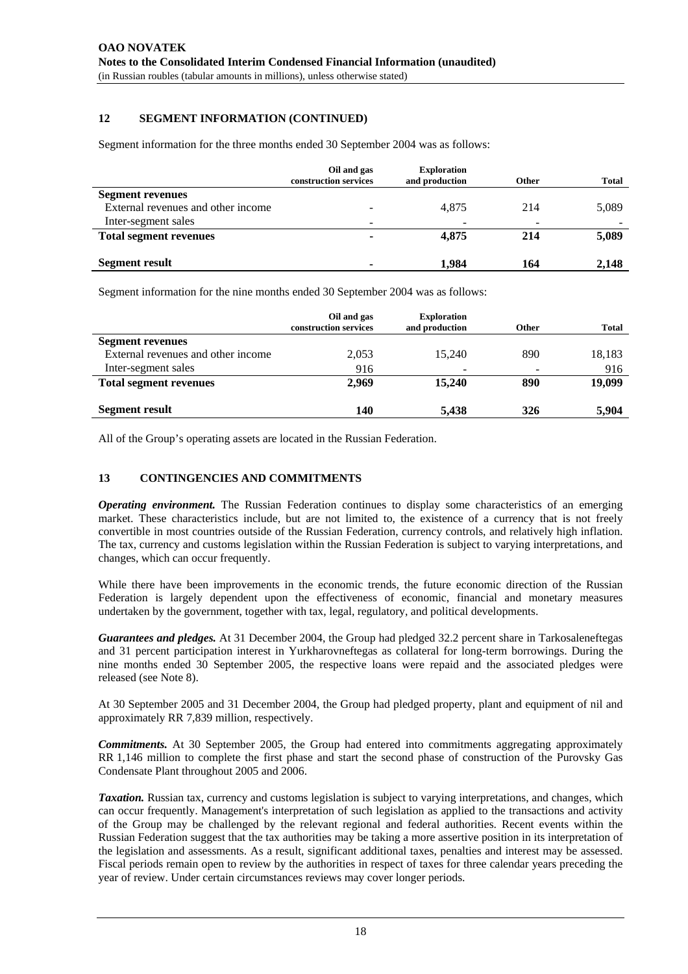# **12 SEGMENT INFORMATION (CONTINUED)**

Segment information for the three months ended 30 September 2004 was as follows:

|                                    | Oil and gas<br>construction services | <b>Exploration</b><br>and production | <b>Other</b> | <b>Total</b> |
|------------------------------------|--------------------------------------|--------------------------------------|--------------|--------------|
| <b>Segment revenues</b>            |                                      |                                      |              |              |
| External revenues and other income |                                      | 4.875                                | 214          | 5,089        |
| Inter-segment sales                | $\overline{\phantom{0}}$             |                                      |              |              |
| <b>Total segment revenues</b>      |                                      | 4.875                                | 214          | 5,089        |
|                                    |                                      |                                      |              |              |
| <b>Segment result</b>              |                                      | 1.984                                | 164          | 2,148        |

Segment information for the nine months ended 30 September 2004 was as follows:

|                                    | Oil and gas<br>construction services | <b>Exploration</b><br>and production | <b>Other</b> | <b>Total</b> |
|------------------------------------|--------------------------------------|--------------------------------------|--------------|--------------|
| <b>Segment revenues</b>            |                                      |                                      |              |              |
| External revenues and other income | 2,053                                | 15.240                               | 890          | 18,183       |
| Inter-segment sales                | 916                                  |                                      |              | 916          |
| <b>Total segment revenues</b>      | 2,969                                | 15,240                               | 890          | 19,099       |
| <b>Segment result</b>              | 140                                  | 5,438                                | 326          | 5,904        |

All of the Group's operating assets are located in the Russian Federation.

## **13 CONTINGENCIES AND COMMITMENTS**

*Operating environment.* The Russian Federation continues to display some characteristics of an emerging market. These characteristics include, but are not limited to, the existence of a currency that is not freely convertible in most countries outside of the Russian Federation, currency controls, and relatively high inflation. The tax, currency and customs legislation within the Russian Federation is subject to varying interpretations, and changes, which can occur frequently.

While there have been improvements in the economic trends, the future economic direction of the Russian Federation is largely dependent upon the effectiveness of economic, financial and monetary measures undertaken by the government, together with tax, legal, regulatory, and political developments.

*Guarantees and pledges.* At 31 December 2004, the Group had pledged 32.2 percent share in Tarkosaleneftegas and 31 percent participation interest in Yurkharovneftegas as collateral for long-term borrowings. During the nine months ended 30 September 2005, the respective loans were repaid and the associated pledges were released (see Note 8).

At 30 September 2005 and 31 December 2004, the Group had pledged property, plant and equipment of nil and approximately RR 7,839 million, respectively.

*Commitments.* At 30 September 2005, the Group had entered into commitments aggregating approximately RR 1,146 million to complete the first phase and start the second phase of construction of the Purovsky Gas Condensate Plant throughout 2005 and 2006.

*Taxation.* Russian tax, currency and customs legislation is subject to varying interpretations, and changes, which can occur frequently. Management's interpretation of such legislation as applied to the transactions and activity of the Group may be challenged by the relevant regional and federal authorities. Recent events within the Russian Federation suggest that the tax authorities may be taking a more assertive position in its interpretation of the legislation and assessments. As a result, significant additional taxes, penalties and interest may be assessed. Fiscal periods remain open to review by the authorities in respect of taxes for three calendar years preceding the year of review. Under certain circumstances reviews may cover longer periods.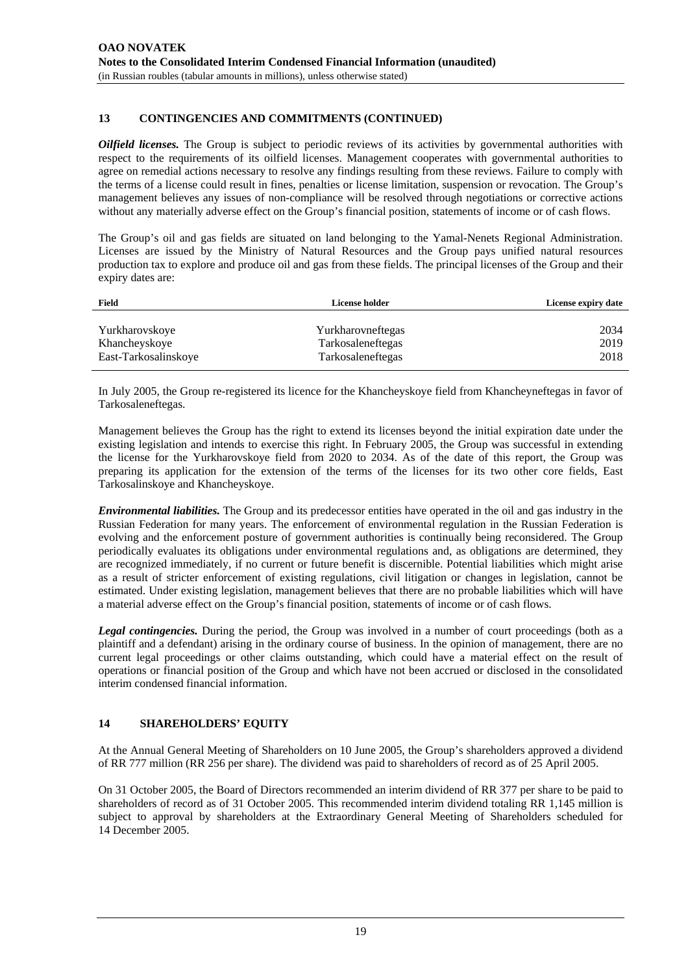# **13 CONTINGENCIES AND COMMITMENTS (CONTINUED)**

*Oilfield licenses*. The Group is subject to periodic reviews of its activities by governmental authorities with respect to the requirements of its oilfield licenses. Management cooperates with governmental authorities to agree on remedial actions necessary to resolve any findings resulting from these reviews. Failure to comply with the terms of a license could result in fines, penalties or license limitation, suspension or revocation. The Group's management believes any issues of non-compliance will be resolved through negotiations or corrective actions without any materially adverse effect on the Group's financial position, statements of income or of cash flows.

The Group's oil and gas fields are situated on land belonging to the Yamal-Nenets Regional Administration. Licenses are issued by the Ministry of Natural Resources and the Group pays unified natural resources production tax to explore and produce oil and gas from these fields. The principal licenses of the Group and their expiry dates are:

| Field                | License holder    | License expiry date |
|----------------------|-------------------|---------------------|
|                      |                   |                     |
| Yurkharovskoye       | Yurkharovneftegas | 2034                |
| Khancheyskoye        | Tarkosaleneftegas | 2019                |
| East-Tarkosalinskove | Tarkosaleneftegas | 2018                |

In July 2005, the Group re-registered its licence for the Khancheyskoye field from Khancheyneftegas in favor of Tarkosaleneftegas.

Management believes the Group has the right to extend its licenses beyond the initial expiration date under the existing legislation and intends to exercise this right. In February 2005, the Group was successful in extending the license for the Yurkharovskoye field from 2020 to 2034. As of the date of this report, the Group was preparing its application for the extension of the terms of the licenses for its two other core fields, East Tarkosalinskoye and Khancheyskoye.

*Environmental liabilities.* The Group and its predecessor entities have operated in the oil and gas industry in the Russian Federation for many years. The enforcement of environmental regulation in the Russian Federation is evolving and the enforcement posture of government authorities is continually being reconsidered. The Group periodically evaluates its obligations under environmental regulations and, as obligations are determined, they are recognized immediately, if no current or future benefit is discernible. Potential liabilities which might arise as a result of stricter enforcement of existing regulations, civil litigation or changes in legislation, cannot be estimated. Under existing legislation, management believes that there are no probable liabilities which will have a material adverse effect on the Group's financial position, statements of income or of cash flows.

*Legal contingencies.* During the period, the Group was involved in a number of court proceedings (both as a plaintiff and a defendant) arising in the ordinary course of business. In the opinion of management, there are no current legal proceedings or other claims outstanding, which could have a material effect on the result of operations or financial position of the Group and which have not been accrued or disclosed in the consolidated interim condensed financial information.

## **14 SHAREHOLDERS' EQUITY**

At the Annual General Meeting of Shareholders on 10 June 2005, the Group's shareholders approved a dividend of RR 777 million (RR 256 per share). The dividend was paid to shareholders of record as of 25 April 2005.

On 31 October 2005, the Board of Directors recommended an interim dividend of RR 377 per share to be paid to shareholders of record as of 31 October 2005. This recommended interim dividend totaling RR 1,145 million is subject to approval by shareholders at the Extraordinary General Meeting of Shareholders scheduled for 14 December 2005.